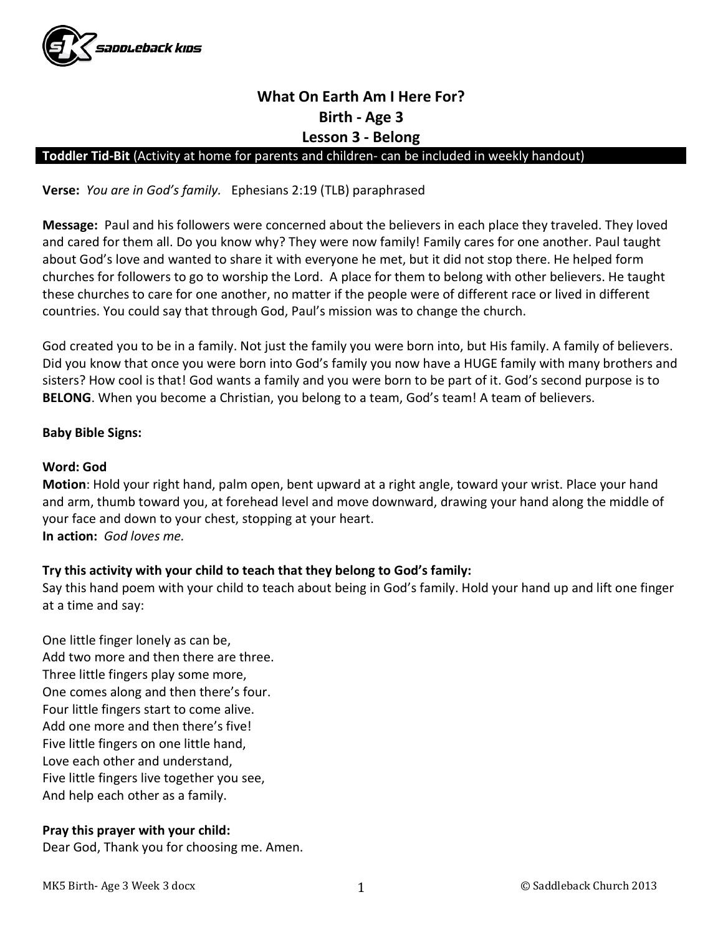

# What On Earth Am I Here For? Birth - Age 3 Lesson 3 - Belong

## Toddler Tid-Bit (Activity at home for parents and children- can be included in weekly handout)

Verse: You are in God's family. Ephesians 2:19 (TLB) paraphrased

Message: Paul and his followers were concerned about the believers in each place they traveled. They loved and cared for them all. Do you know why? They were now family! Family cares for one another. Paul taught about God's love and wanted to share it with everyone he met, but it did not stop there. He helped form churches for followers to go to worship the Lord. A place for them to belong with other believers. He taught these churches to care for one another, no matter if the people were of different race or lived in different countries. You could say that through God, Paul's mission was to change the church.

God created you to be in a family. Not just the family you were born into, but His family. A family of believers. Did you know that once you were born into God's family you now have a HUGE family with many brothers and sisters? How cool is that! God wants a family and you were born to be part of it. God's second purpose is to BELONG. When you become a Christian, you belong to a team, God's team! A team of believers.

## Baby Bible Signs:

#### Word: God

Motion: Hold your right hand, palm open, bent upward at a right angle, toward your wrist. Place your hand and arm, thumb toward you, at forehead level and move downward, drawing your hand along the middle of your face and down to your chest, stopping at your heart. In action: God loves me.

# Try this activity with your child to teach that they belong to God's family:

Say this hand poem with your child to teach about being in God's family. Hold your hand up and lift one finger at a time and say:

One little finger lonely as can be, Add two more and then there are three. Three little fingers play some more, One comes along and then there's four. Four little fingers start to come alive. Add one more and then there's five! Five little fingers on one little hand, Love each other and understand, Five little fingers live together you see, And help each other as a family.

# Pray this prayer with your child:

Dear God, Thank you for choosing me. Amen.